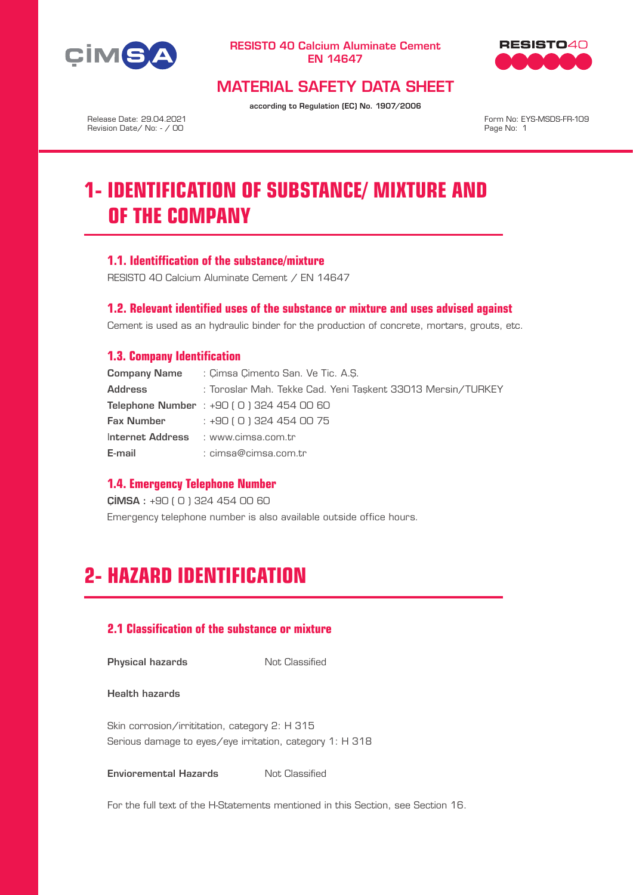



# MATERIAL SAFETY DATA SHEET

according to Regulation (EC) No. 1907/2006

Release Date: 29.04.2021 Revision Date/ No: - / 00

Form No: EYS-MSDS-FR-109 Page No: 1

# **1- IDENTIFICATION OF SUBSTANCE/ MIXTURE AND OF THE COMPANY**

## **1.1. Identiffication of the substance/mixture**

RESISTO 40 Calcium Aluminate Cement / EN 14647

### **1.2. Relevant identified uses of the substance or mixture and uses advised against**

Cement is used as an hydraulic binder for the production of concrete, mortars, grouts, etc.

## **1.3. Company Identification**

|                                     | <b>Company Name</b> : Cimsa Cimento San, Ve Tic, A.S.       |
|-------------------------------------|-------------------------------------------------------------|
| <b>Address</b>                      | : Toroslar Mah, Tekke Cad, Yeni Taskent 33013 Mersin/TURKEY |
|                                     | <b>Telephone Number</b> : $+90$ (0) 324 454 00 60           |
| Fax Number                          | : +90 ( 0 ) 324 454 00 75                                   |
| Internet Address : www.cimsa.com.tr |                                                             |
| E-mail                              | : cimsa@cimsa.com.tr                                        |

### **1.4. Emergency Telephone Number**

ÇİMSA : +90 ( 0 ) 324 454 00 60 Emergency telephone number is also available outside office hours.

# **2- HAZARD IDENTIFICATION**

# **2.1 Classification of the substance or mixture**

**Physical hazards** Not Classified

Health hazards

Skin corrosion/irrititation, category 2: H 315 Serious damage to eyes/eye irritation, category 1: H 318

**Envioremental Hazards** Not Classified

For the full text of the H-Statements mentioned in this Section, see Section 16.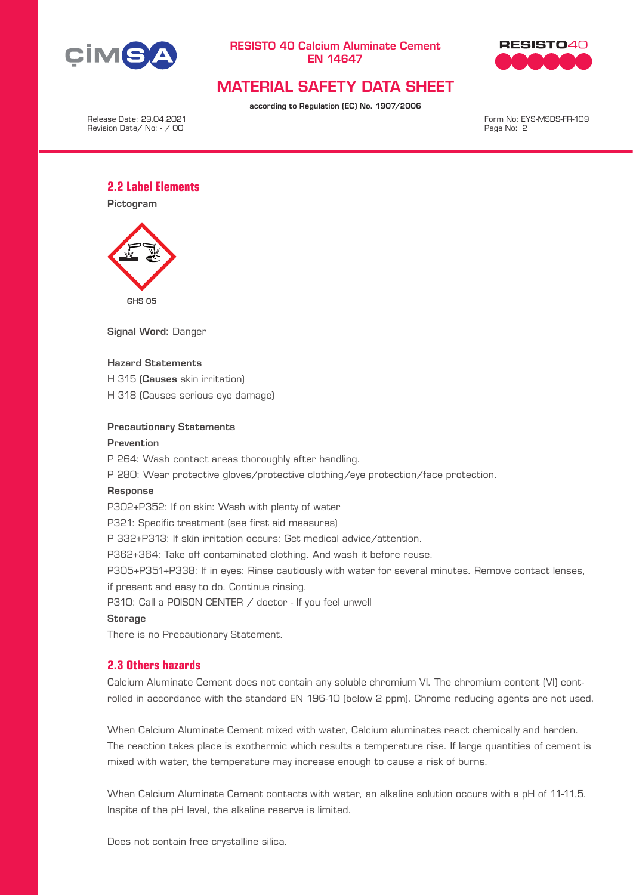



# MATERIAL SAFETY DATA SHEET

according to Regulation (EC) No. 1907/2006

Release Date: 29.04.2021 Revision Date/ No: - / 00

Form No: EYS-MSDS-FR-109 Page No: 2

## **2.2 Label Elements**

Pictogram



Signal Word: Danger

#### Hazard Statements

H 315 (Causes skin irritation)

H 318 (Causes serious eye damage)

#### Precautionary Statements

#### Prevention

P 264: Wash contact areas thoroughly after handling.

P 280: Wear protective gloves/protective clothing/eye protection/face protection.

#### Response

P302+P352: If on skin: Wash with plenty of water P321: Specific treatment (see first aid measures)

P 332+P313: If skin irritation occurs: Get medical advice/attention.

P362+364: Take off contaminated clothing. And wash it before reuse.

P305+P351+P338: If in eyes: Rinse cautiously with water for several minutes. Remove contact lenses,

if present and easy to do. Continue rinsing.

P310: Call a POISON CENTER / doctor - If you feel unwell

#### **Storage**

There is no Precautionary Statement.

# **2.3 Others hazards**

Calcium Aluminate Cement does not contain any soluble chromium VI. The chromium content (VI) controlled in accordance with the standard EN 196-10 (below 2 ppm). Chrome reducing agents are not used.

When Calcium Aluminate Cement mixed with water, Calcium aluminates react chemically and harden. The reaction takes place is exothermic which results a temperature rise. If large quantities of cement is mixed with water, the temperature may increase enough to cause a risk of burns.

When Calcium Aluminate Cement contacts with water, an alkaline solution occurs with a pH of 11-11,5. Inspite of the pH level, the alkaline reserve is limited.

Does not contain free crystalline silica.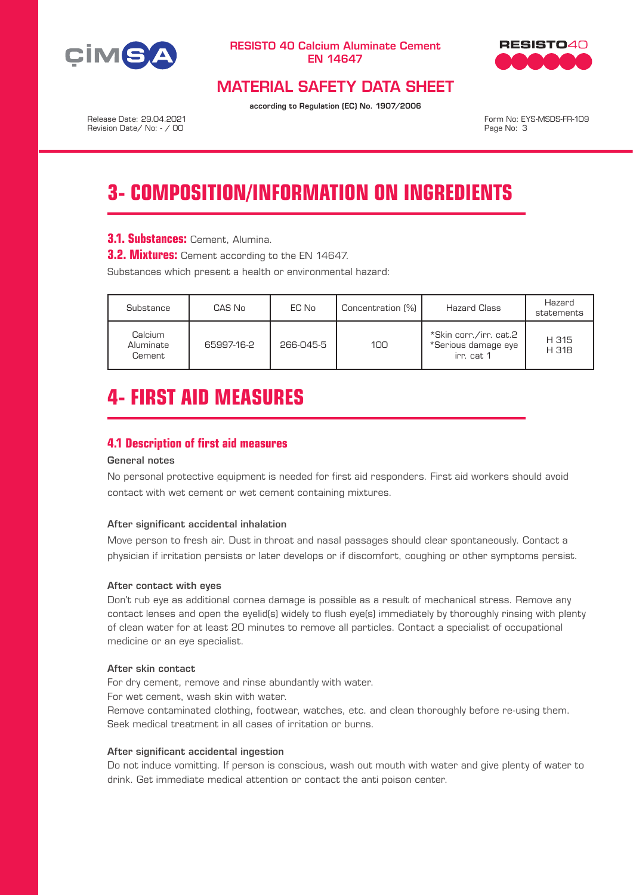



# MATERIAL SAFETY DATA SHEET

according to Regulation (EC) No. 1907/2006

Release Date: 29.04.2021 Revision Date/ No: - / 00

Form No: EYS-MSDS-FR-109 Page No: 3

# **3- COMPOSITION/INFORMATION ON INGREDIENTS**

**3.1. Substances: Cement, Alumina.** 

**3.2. Mixtures:** Cement according to the EN 14647.

Substances which present a health or environmental hazard:

| Substance                      | CAS No     | EC No     | Concentration [%] | Hazard Class                                                | Hazard<br>statements |
|--------------------------------|------------|-----------|-------------------|-------------------------------------------------------------|----------------------|
| Calcium<br>Aluminate<br>Cement | 65997-16-2 | 266-045-5 | 100               | *Skin corr./irr. cat.2<br>*Serious damage eye<br>irr. cat 1 | H 315<br>H 318       |

# **4- FIRST AID MEASURES**

## **4.1 Description of first aid measures**

## General notes

No personal protective equipment is needed for first aid responders. First aid workers should avoid contact with wet cement or wet cement containing mixtures.

#### After significant accidental inhalation

Move person to fresh air. Dust in throat and nasal passages should clear spontaneously. Contact a physician if irritation persists or later develops or if discomfort, coughing or other symptoms persist.

#### After contact with eyes

Don't rub eye as additional cornea damage is possible as a result of mechanical stress. Remove any contact lenses and open the eyelid(s) widely to flush eye(s) immediately by thoroughly rinsing with plenty of clean water for at least 20 minutes to remove all particles. Contact a specialist of occupational medicine or an eye specialist.

#### After skin contact

For dry cement, remove and rinse abundantly with water. For wet cement, wash skin with water.

Remove contaminated clothing, footwear, watches, etc. and clean thoroughly before re-using them. Seek medical treatment in all cases of irritation or burns.

#### After significant accidental ingestion

Do not induce vomitting. If person is conscious, wash out mouth with water and give plenty of water to drink. Get immediate medical attention or contact the anti poison center.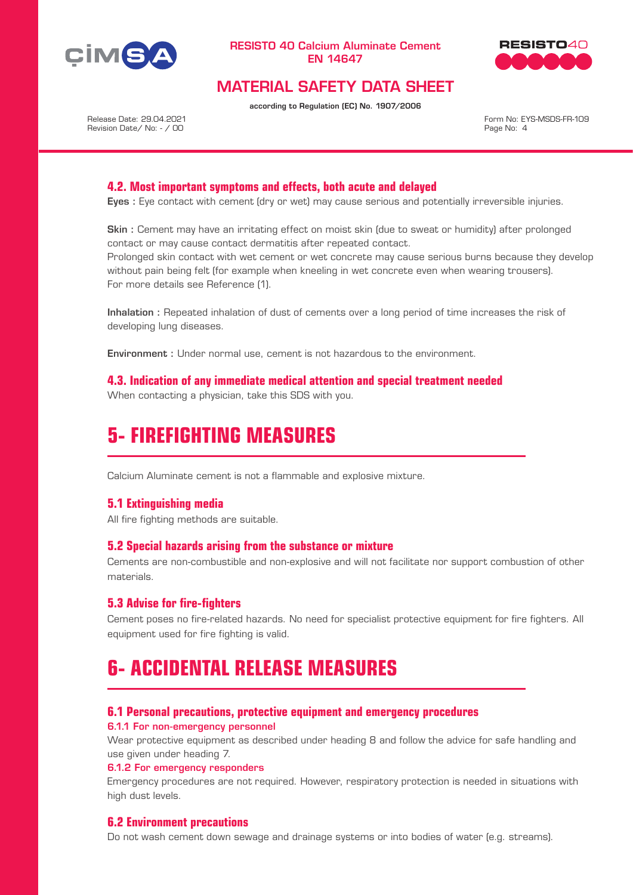



# MATERIAL SAFETY DATA SHEET

according to Regulation (EC) No. 1907/2006

Release Date: 29.04.2021 Revision Date/ No: - / 00

Form No: EYS-MSDS-FR-109 Page No: 4

## **4.2. Most important symptoms and effects, both acute and delayed**

Eyes : Eye contact with cement (dry or wet) may cause serious and potentially irreversible injuries.

Skin : Cement may have an irritating effect on moist skin (due to sweat or humidity) after prolonged contact or may cause contact dermatitis after repeated contact.

Prolonged skin contact with wet cement or wet concrete may cause serious burns because they develop without pain being felt (for example when kneeling in wet concrete even when wearing trousers). For more details see Reference (1).

Inhalation : Repeated inhalation of dust of cements over a long period of time increases the risk of developing lung diseases.

Environment : Under normal use, cement is not hazardous to the environment.

**4.3. Indication of any immediate medical attention and special treatment needed** When contacting a physician, take this SDS with you.

# **5- FIREFIGHTING MEASURES**

Calcium Aluminate cement is not a flammable and explosive mixture.

### **5.1 Extinguishing media**

All fire fighting methods are suitable.

#### **5.2 Special hazards arising from the substance or mixture**

Cements are non-combustible and non-explosive and will not facilitate nor support combustion of other materials.

### **5.3 Advise for fire-fighters**

Cement poses no fire-related hazards. No need for specialist protective equipment for fire fighters. All equipment used for fire fighting is valid.

# **6- ACCIDENTAL RELEASE MEASURES**

#### **6.1 Personal precautions, protective equipment and emergency procedures**

6.1.1 For non-emergency personnel

Wear protective equipment as described under heading 8 and follow the advice for safe handling and use given under heading 7.

#### 6.1.2 For emergency responders

Emergency procedures are not required. However, respiratory protection is needed in situations with high dust levels.

### **6.2 Environment precautions**

Do not wash cement down sewage and drainage systems or into bodies of water (e.g. streams).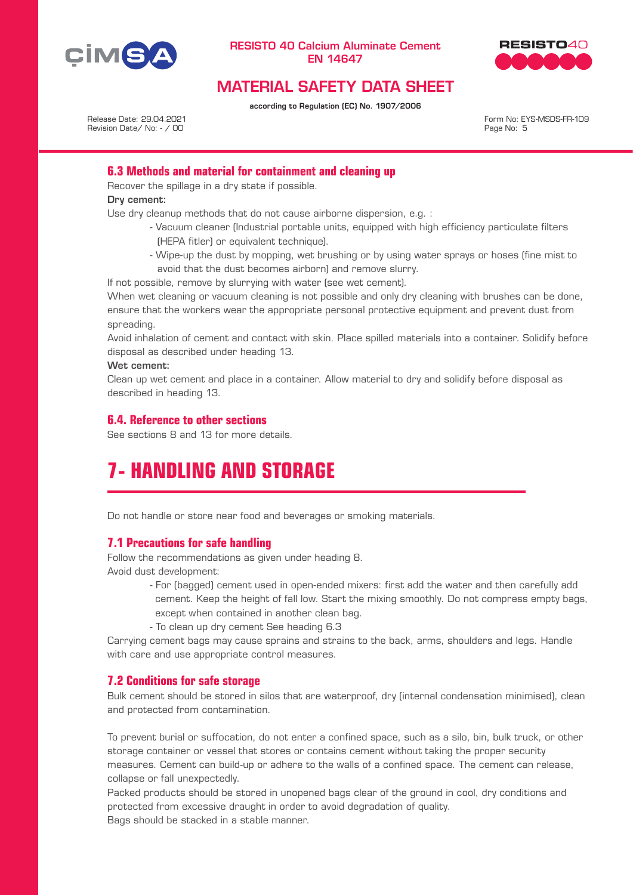



# MATERIAL SAFETY DATA SHEET

according to Regulation (EC) No. 1907/2006

Release Date: 29.04.2021 Revision Date/ No: - / 00 Form No: EYS-MSDS-FR-109 Page No: 5

## **6.3 Methods and material for containment and cleaning up**

Recover the spillage in a dry state if possible.

Dry cement:

Use dry cleanup methods that do not cause airborne dispersion, e.g. :

- Vacuum cleaner (Industrial portable units, equipped with high efficiency particulate filters (HEPA fitler) or equivalent technique).
- Wipe-up the dust by mopping, wet brushing or by using water sprays or hoses (fine mist to avoid that the dust becomes airborn) and remove slurry.

If not possible, remove by slurrying with water (see wet cement).

When wet cleaning or vacuum cleaning is not possible and only dry cleaning with brushes can be done, ensure that the workers wear the appropriate personal protective equipment and prevent dust from spreading.

Avoid inhalation of cement and contact with skin. Place spilled materials into a container. Solidify before disposal as described under heading 13.

Wet cement:

Clean up wet cement and place in a container. Allow material to dry and solidify before disposal as described in heading 13.

# **6.4. Reference to other sections**

See sections 8 and 13 for more details.

# **7- HANDLING AND STORAGE**

Do not handle or store near food and beverages or smoking materials.

### **7.1 Precautions for safe handling**

Follow the recommendations as given under heading 8. Avoid dust development:

- For (bagged) cement used in open-ended mixers: first add the water and then carefully add cement. Keep the height of fall low. Start the mixing smoothly. Do not compress empty bags, except when contained in another clean bag.
- To clean up dry cement See heading 6.3

Carrying cement bags may cause sprains and strains to the back, arms, shoulders and legs. Handle with care and use appropriate control measures.

# **7.2 Conditions for safe storage**

Bulk cement should be stored in silos that are waterproof, dry (internal condensation minimised), clean and protected from contamination.

To prevent burial or suffocation, do not enter a confined space, such as a silo, bin, bulk truck, or other storage container or vessel that stores or contains cement without taking the proper security measures. Cement can build-up or adhere to the walls of a confined space. The cement can release, collapse or fall unexpectedly.

Packed products should be stored in unopened bags clear of the ground in cool, dry conditions and protected from excessive draught in order to avoid degradation of quality. Bags should be stacked in a stable manner.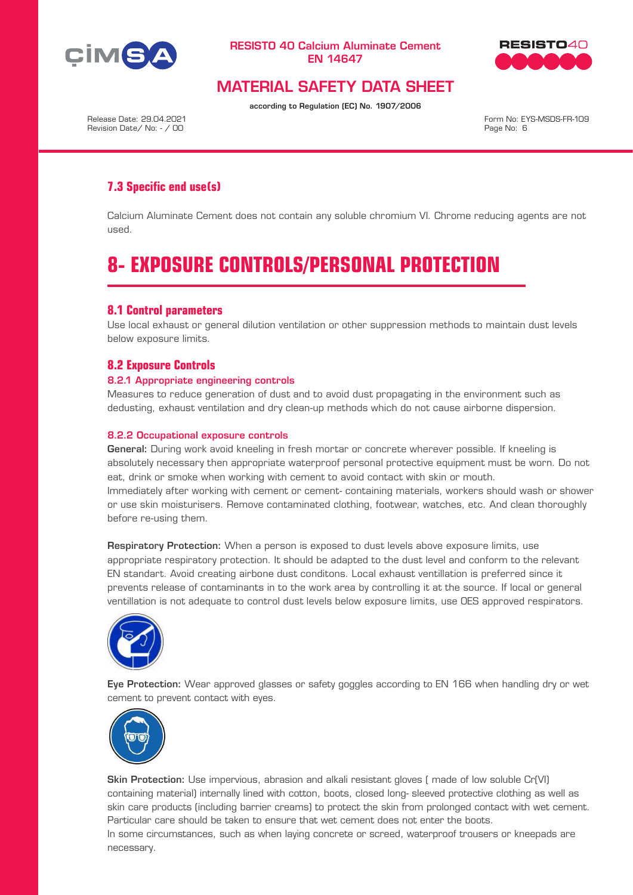



# MATERIAL SAFETY DATA SHEET

according to Regulation (EC) No. 1907/2006

Release Date: 29.04.2021 Revision Date/ No: - / 00

Form No: EYS-MSDS-FR-109 Page No: 6

# **7.3 Specific end use(s)**

Calcium Aluminate Cement does not contain any soluble chromium VI. Chrome reducing agents are not used.

# **8- EXPOSURE CONTROLS/PERSONAL PROTECTION**

## **8.1 Control parameters**

Use local exhaust or general dilution ventilation or other suppression methods to maintain dust levels below exposure limits.

## **8.2 Exposure Controls**

#### 8.2.1 Appropriate engineering controls

Measures to reduce generation of dust and to avoid dust propagating in the environment such as dedusting, exhaust ventilation and dry clean-up methods which do not cause airborne dispersion.

#### 8.2.2 Occupational exposure controls

General: During work avoid kneeling in fresh mortar or concrete wherever possible. If kneeling is absolutely necessary then appropriate waterproof personal protective equipment must be worn. Do not eat, drink or smoke when working with cement to avoid contact with skin or mouth. Immediately after working with cement or cement- containing materials, workers should wash or shower or use skin moisturisers. Remove contaminated clothing, footwear, watches, etc. And clean thoroughly before re-using them.

Respiratory Protection: When a person is exposed to dust levels above exposure limits, use appropriate respiratory protection. It should be adapted to the dust level and conform to the relevant EN standart. Avoid creating airbone dust conditons. Local exhaust ventillation is preferred since it prevents release of contaminants in to the work area by controlling it at the source. If local or general ventillation is not adequate to control dust levels below exposure limits, use OES approved respirators.



Eye Protection: Wear approved glasses or safety goggles according to EN 166 when handling dry or wet cement to prevent contact with eyes.



Skin Protection: Use impervious, abrasion and alkali resistant gloves ( made of low soluble Cr(VI) containing material) internally lined with cotton, boots, closed long- sleeved protective clothing as well as skin care products (including barrier creams) to protect the skin from prolonged contact with wet cement. Particular care should be taken to ensure that wet cement does not enter the boots.

In some circumstances, such as when laying concrete or screed, waterproof trousers or kneepads are necessary.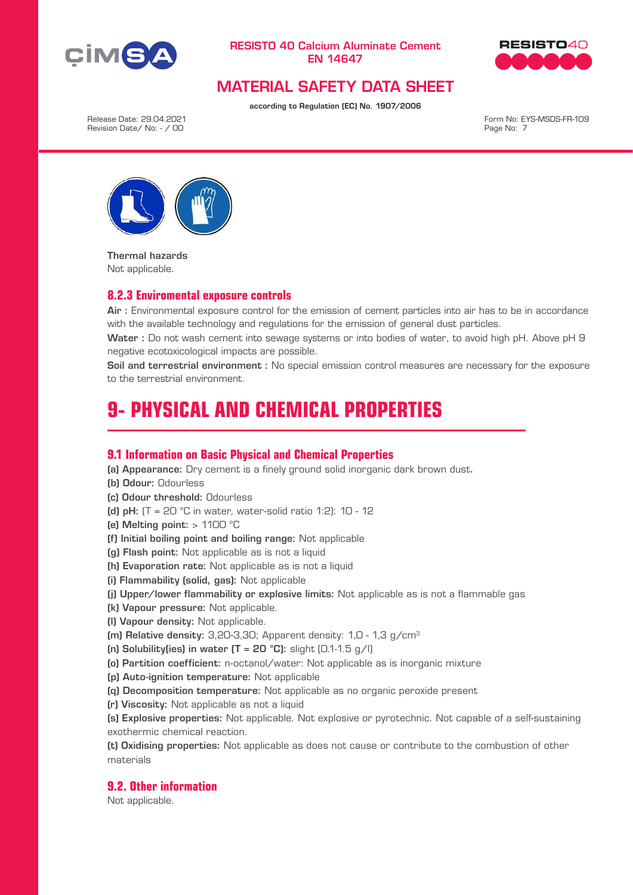



# MATERIAL SAFETY DATA SHEET

according to Regulation (EC) No. 1907/2006

Release Date: 29.04.2021 Revision Date/ No: - / 00

Form No: EYS-MSDS-FR-109 Page No: 7



Thermal hazards Not applicable.

### **8.2.3 Enviromental exposure controls**

Air : Environmental exposure control for the emission of cement particles into air has to be in accordance with the available technology and regulations for the emission of general dust particles.

Water : Do not wash cement into sewage systems or into bodies of water, to avoid high pH. Above pH 9 negative ecotoxicological impacts are possible.

Soil and terrestrial environment : No special emission control measures are necessary for the exposure to the terrestrial environment.

# **9- PHYSICAL AND CHEMICAL PROPERTIES**

### **9.1 Information on Basic Physical and Chemical Properties**

(a) Appearance: Dry cement is a finely ground solid inorganic dark brown dust.

- (b) Odour: Odourless
- (c) Odour threshold: Odourless
- (d) pH:  $(T = 20 °C)$  in water, water-solid ratio 1:2): 10 12
- (e) Melting point:  $> 1100$  °C

(f) Initial boiling point and boiling range: Not applicable

- (g) Flash point: Not applicable as is not a liquid
- (h) Evaporation rate: Not applicable as is not a liquid
- (i) Flammability (solid, gas): Not applicable
- (j) Upper/lower flammability or explosive limits: Not applicable as is not a flammable gas
- (k) Vapour pressure: Not applicable.
- (l) Vapour density: Not applicable.

(m) Relative density:  $3,20-3,30$ ; Apparent density:  $1,0 - 1,3$  g/cm<sup>3</sup>

- (n) Solubility(ies) in water  $(T = 20 °C)$ : slight  $(0.1-1.5 q/l)$
- (o) Partition coefficient: n-octanol/water: Not applicable as is inorganic mixture
- (p) Auto-ignition temperature: Not applicable
- (q) Decomposition temperature: Not applicable as no organic peroxide present
- (r) Viscosity: Not applicable as not a liquid

(s) Explosive properties: Not applicable. Not explosive or pyrotechnic. Not capable of a self-sustaining exothermic chemical reaction.

(t) Oxidising properties: Not applicable as does not cause or contribute to the combustion of other materials

#### **9.2. Other information**

Not applicable.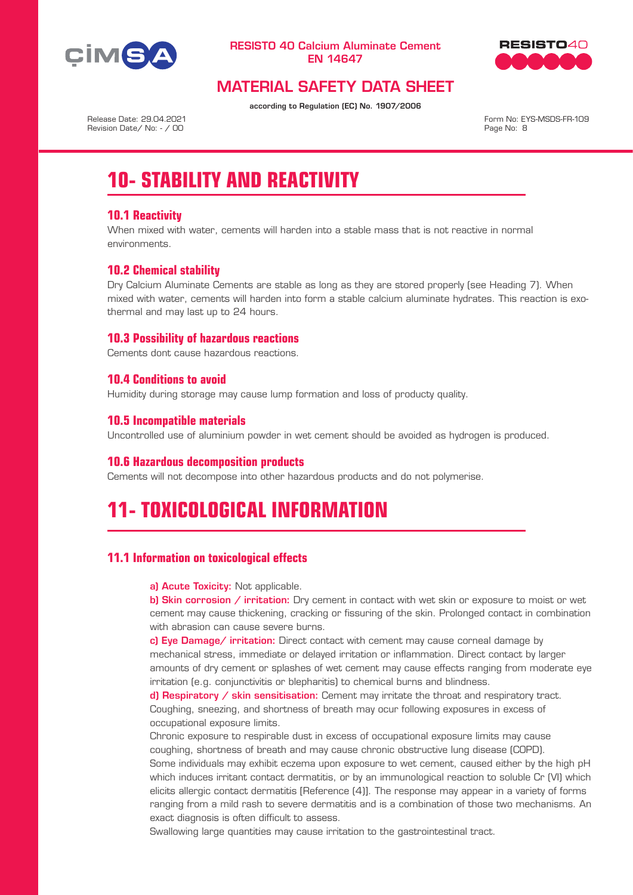



# MATERIAL SAFETY DATA SHEET

according to Regulation (EC) No. 1907/2006

Release Date: 29.04.2021 Revision Date/ No: - / 00

Form No: EYS-MSDS-FR-109 Page No: 8

# **10- STABILITY AND REACTIVITY**

# **10.1 Reactivity**

When mixed with water, cements will harden into a stable mass that is not reactive in normal environments.

# **10.2 Chemical stability**

Dry Calcium Aluminate Cements are stable as long as they are stored properly (see Heading 7). When mixed with water, cements will harden into form a stable calcium aluminate hydrates. This reaction is exothermal and may last up to 24 hours.

## **10.3 Possibility of hazardous reactions**

Cements dont cause hazardous reactions.

# **10.4 Conditions to avoid**

Humidity during storage may cause lump formation and loss of producty quality.

## **10.5 Incompatible materials**

Uncontrolled use of aluminium powder in wet cement should be avoided as hydrogen is produced.

### **10.6 Hazardous decomposition products**

Cements will not decompose into other hazardous products and do not polymerise.

# **11- TOXICOLOGICAL INFORMATION**

# **11.1 Information on toxicological effects**

a) Acute Toxicity: Not applicable.

b) Skin corrosion / irritation: Dry cement in contact with wet skin or exposure to moist or wet cement may cause thickening, cracking or fissuring of the skin. Prolonged contact in combination with abrasion can cause severe burns.

c) Eye Damage/ irritation: Direct contact with cement may cause corneal damage by mechanical stress, immediate or delayed irritation or inflammation. Direct contact by larger amounts of dry cement or splashes of wet cement may cause effects ranging from moderate eye irritation (e.g. conjunctivitis or blepharitis) to chemical burns and blindness.

d) Respiratory / skin sensitisation: Cement may irritate the throat and respiratory tract. Coughing, sneezing, and shortness of breath may ocur following exposures in excess of occupational exposure limits.

Chronic exposure to respirable dust in excess of occupational exposure limits may cause coughing, shortness of breath and may cause chronic obstructive lung disease (COPD).

Some individuals may exhibit eczema upon exposure to wet cement, caused either by the high pH which induces irritant contact dermatitis, or by an immunological reaction to soluble Cr (VI) which elicits allergic contact dermatitis [Reference (4)]. The response may appear in a variety of forms ranging from a mild rash to severe dermatitis and is a combination of those two mechanisms. An exact diagnosis is often difficult to assess.

Swallowing large quantities may cause irritation to the gastrointestinal tract.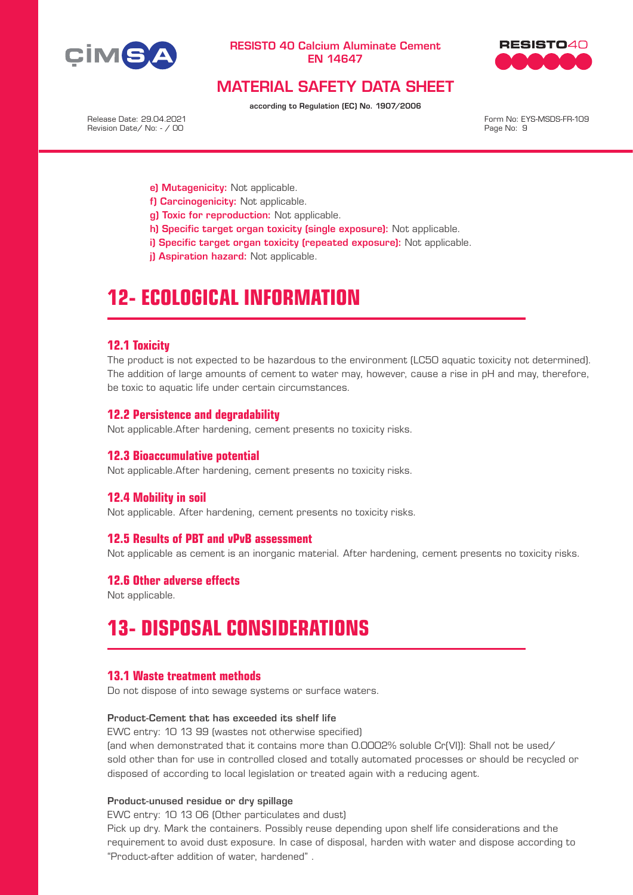



# MATERIAL SAFETY DATA SHEET

according to Regulation (EC) No. 1907/2006

Release Date: 29.04.2021 Revision Date/ No: - / 00 Form No: EYS-MSDS-FR-109 Page No: 9

- e) Mutagenicity: Not applicable.
- f) Carcinogenicity: Not applicable.
- g) Toxic for reproduction: Not applicable.
- h) Specific target organ toxicity (single exposure): Not applicable.
- i) Specific target organ toxicity (repeated exposure): Not applicable.
- il Aspiration hazard: Not applicable.

# **12- ECOLOGICAL INFORMATION**

### **12.1 Toxicity**

The product is not expected to be hazardous to the environment (LC50 aquatic toxicity not determined). The addition of large amounts of cement to water may, however, cause a rise in pH and may, therefore, be toxic to aquatic life under certain circumstances.

### **12.2 Persistence and degradability**

Not applicable.After hardening, cement presents no toxicity risks.

#### **12.3 Bioaccumulative potential**

Not applicable.After hardening, cement presents no toxicity risks.

#### **12.4 Mobility in soil**

Not applicable. After hardening, cement presents no toxicity risks.

#### **12.5 Results of PBT and vPvB assessment**

Not applicable as cement is an inorganic material. After hardening, cement presents no toxicity risks.

### **12.6 Other adverse effects**

Not applicable.

# **13- DISPOSAL CONSIDERATIONS**

#### **13.1 Waste treatment methods**

Do not dispose of into sewage systems or surface waters.

#### Product-Cement that has exceeded its shelf life

EWC entry: 10 13 99 (wastes not otherwise specified) (and when demonstrated that it contains more than 0.0002% soluble Cr(VI)): Shall not be used/ sold other than for use in controlled closed and totally automated processes or should be recycled or

disposed of according to local legislation or treated again with a reducing agent.

# Product-unused residue or dry spillage

EWC entry: 10 13 06 (Other particulates and dust)

Pick up dry. Mark the containers. Possibly reuse depending upon shelf life considerations and the requirement to avoid dust exposure. In case of disposal, harden with water and dispose according to "Product-after addition of water, hardened" .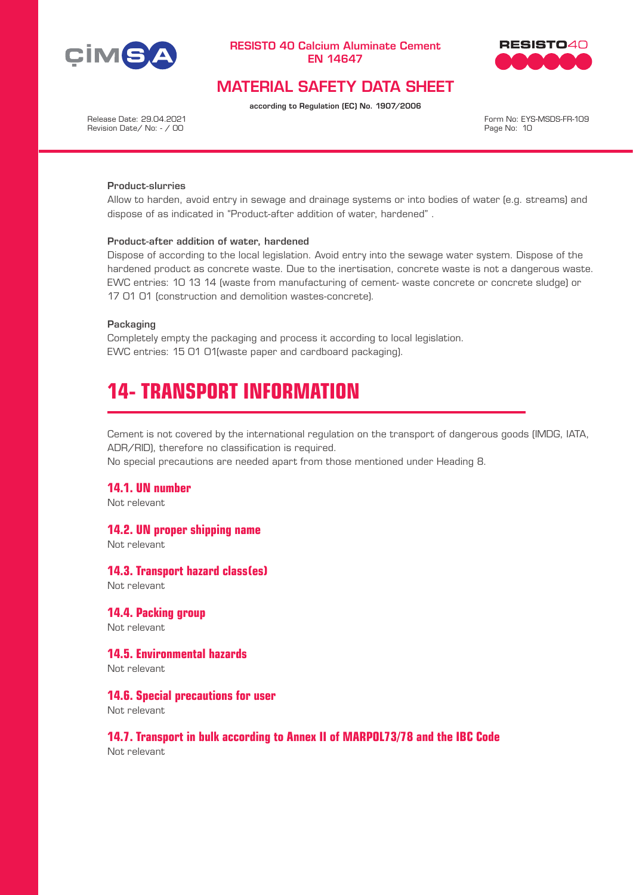



# MATERIAL SAFETY DATA SHEET

according to Regulation (EC) No. 1907/2006

Release Date: 29.04.2021 Revision Date/ No: - / 00 Form No: EYS-MSDS-FR-109 Page No: 10

#### Product-slurries

Allow to harden, avoid entry in sewage and drainage systems or into bodies of water (e.g. streams) and dispose of as indicated in "Product-after addition of water, hardened" .

#### Product-after addition of water, hardened

Dispose of according to the local legislation. Avoid entry into the sewage water system. Dispose of the hardened product as concrete waste. Due to the inertisation, concrete waste is not a dangerous waste. EWC entries: 10 13 14 (waste from manufacturing of cement- waste concrete or concrete sludge) or 17 01 01 (construction and demolition wastes-concrete).

#### Packaging

Completely empty the packaging and process it according to local legislation. EWC entries: 15 01 01(waste paper and cardboard packaging).

# **14- TRANSPORT INFORMATION**

Cement is not covered by the international regulation on the transport of dangerous goods (IMDG, IATA, ADR/RID), therefore no classification is required.

No special precautions are needed apart from those mentioned under Heading 8.

#### **14.1. UN number**

Not relevant

#### **14.2. UN proper shipping name**

Not relevant

#### **14.3. Transport hazard class(es)**

Not relevant

#### **14.4. Packing group**

Not relevant

# **14.5. Environmental hazards**

Not relevant

### **14.6. Special precautions for user**

Not relevant

### **14.7. Transport in bulk according to Annex II of MARPOL73/78 and the IBC Code**

Not relevant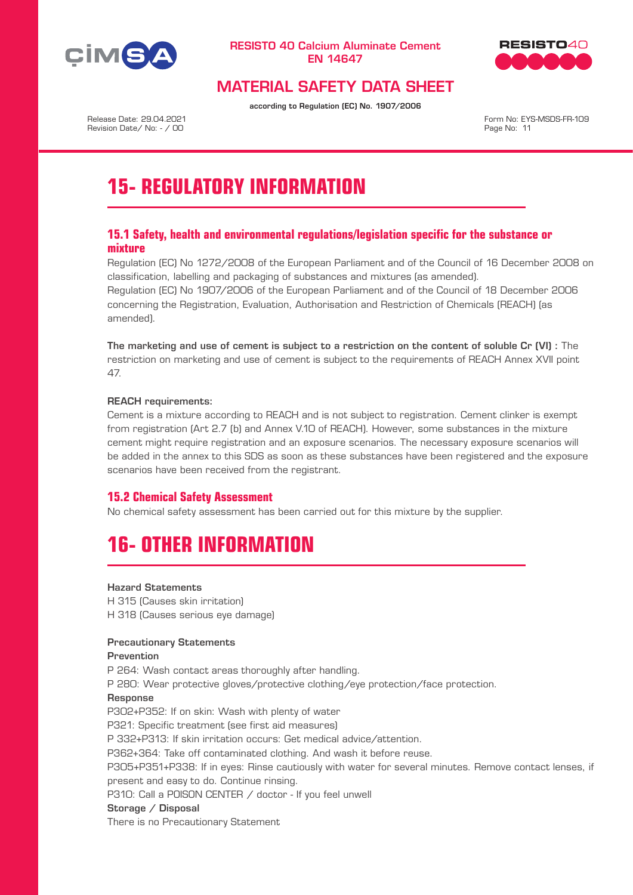



# MATERIAL SAFETY DATA SHEET

according to Regulation (EC) No. 1907/2006

Release Date: 29.04.2021 Revision Date/ No: - / 00

Form No: EYS-MSDS-FR-109 Page No: 11

# **15- REGULATORY INFORMATION**

# **15.1 Safety, health and environmental regulations/legislation specific for the substance or mixture**

Regulation (EC) No 1272/2008 of the European Parliament and of the Council of 16 December 2008 on classification, labelling and packaging of substances and mixtures (as amended). Regulation (EC) No 1907/2006 of the European Parliament and of the Council of 18 December 2006 concerning the Registration, Evaluation, Authorisation and Restriction of Chemicals (REACH) (as amended).

The marketing and use of cement is subject to a restriction on the content of soluble Cr (VI) : The restriction on marketing and use of cement is subject to the requirements of REACH Annex XVII point 47.

#### REACH requirements:

Cement is a mixture according to REACH and is not subject to registration. Cement clinker is exempt from registration (Art 2.7 (b) and Annex V.10 of REACH). However, some substances in the mixture cement might require registration and an exposure scenarios. The necessary exposure scenarios will be added in the annex to this SDS as soon as these substances have been registered and the exposure scenarios have been received from the registrant.

# **15.2 Chemical Safety Assessment**

No chemical safety assessment has been carried out for this mixture by the supplier.

# **16- OTHER INFORMATION**

#### Hazard Statements

H 315 (Causes skin irritation) H 318 (Causes serious eye damage)

#### Precautionary Statements

#### Prevention

P 264: Wash contact areas thoroughly after handling.

P 280: Wear protective gloves/protective clothing/eye protection/face protection.

#### Response

P302+P352: If on skin: Wash with plenty of water P321: Specific treatment (see first aid measures) P 332+P313: If skin irritation occurs: Get medical advice/attention. P362+364: Take off contaminated clothing. And wash it before reuse. P305+P351+P338: If in eyes: Rinse cautiously with water for several minutes. Remove contact lenses, if present and easy to do. Continue rinsing. P310: Call a P0ISON CENTER / doctor - If you feel unwell Storage / Disposal

There is no Precautionary Statement